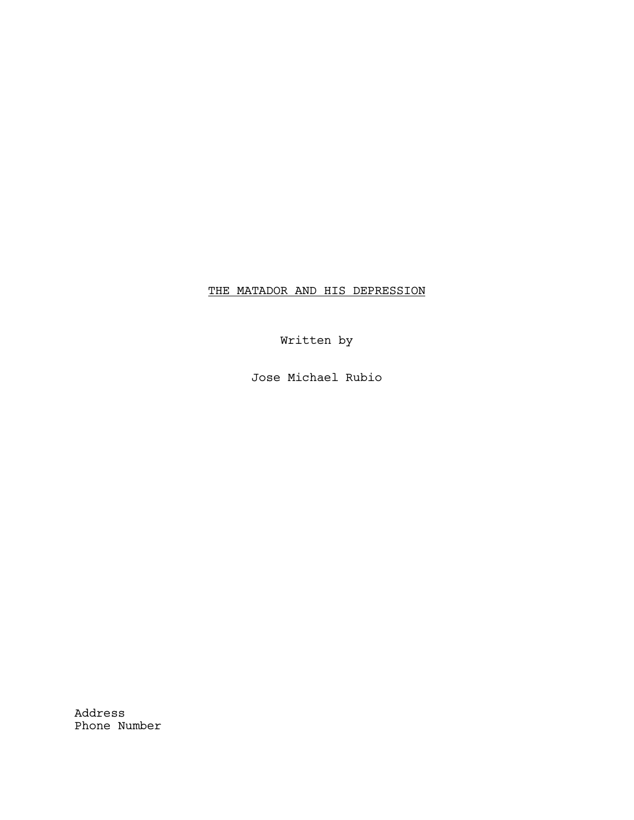# THE MATADOR AND HIS DEPRESSION

Written by

Jose Michael Rubio

Address Phone Number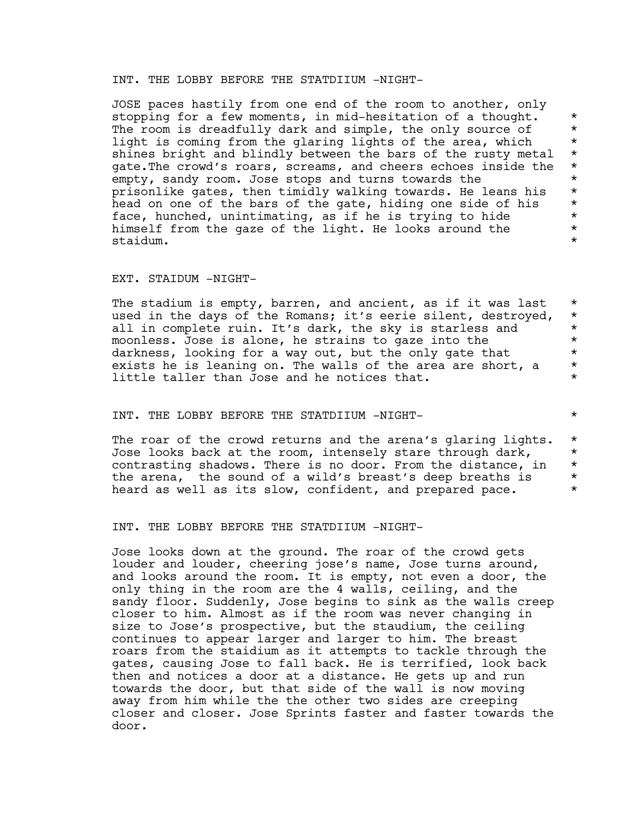# INT. THE LOBBY BEFORE THE STATDIIUM -NIGHT-

JOSE paces hastily from one end of the room to another, only stopping for a few moments, in mid-hesitation of a thought. \* The room is dreadfully dark and simple, the only source of  $*$ light is coming from the glaring lights of the area, which  $*$ <br>shines bright and blindly between the bars of the rusty metal  $*$ shines bright and blindly between the bars of the rusty metal  $*$ <br>gate The crowd's roars, screams, and cheers echoes inside the  $*$ gate.The crowd's roars, screams, and cheers echoes inside the \* empty, sandy room. Jose stops and turns towards the  $*$ prisonlike gates, then timidly walking towards. He leans his \* head on one of the bars of the gate, hiding one side of his  $*$ <br>face, hunched, unintimating, as if he is trying to hide  $*$ face, hunched, unintimating, as if he is trying to hide  $*$ <br>himself from the gaze of the light. He looks around the  $*$ himself from the gaze of the light. He looks around the  $*$ <br>staidum. staidum. \*

#### EXT. STAIDUM -NIGHT-

The stadium is empty, barren, and ancient, as if it was last  $*$ used in the days of the Romans; it's eerie silent, destroyed, \* all in complete ruin. It's dark, the sky is starless and  $*$ <br>moonless Jose is alone, he strains to gaze into the moonless. Jose is alone, he strains to gaze into the  $*$ <br>darkness. looking for a way out, but the only gate that  $*$ darkness, looking for a way out, but the only gate that  $*$ <br>exists be is leaning on. The walls of the area are short, a exists he is leaning on. The walls of the area are short, a \* little taller than Jose and he notices that.  $*$ 

### INT. THE LOBBY BEFORE THE STATDIIUM -NIGHT- \*

The roar of the crowd returns and the arena's glaring lights. \* Jose looks back at the room, intensely stare through dark,  $*$ contrasting shadows. There is no door. From the distance, in \* the arena, the sound of a wild's breast's deep breaths is  $*$ <br>board as well as its slow, sentident, and prepared page heard as well as its slow, confident, and prepared pace.

INT. THE LOBBY BEFORE THE STATDIIUM -NIGHT-

Jose looks down at the ground. The roar of the crowd gets louder and louder, cheering jose's name, Jose turns around, and looks around the room. It is empty, not even a door, the only thing in the room are the 4 walls, ceiling, and the sandy floor. Suddenly, Jose begins to sink as the walls creep closer to him. Almost as if the room was never changing in size to Jose's prospective, but the staudium, the ceiling continues to appear larger and larger to him. The breast roars from the staidium as it attempts to tackle through the gates, causing Jose to fall back. He is terrified, look back then and notices a door at a distance. He gets up and run towards the door, but that side of the wall is now moving away from him while the the other two sides are creeping closer and closer. Jose Sprints faster and faster towards the door.